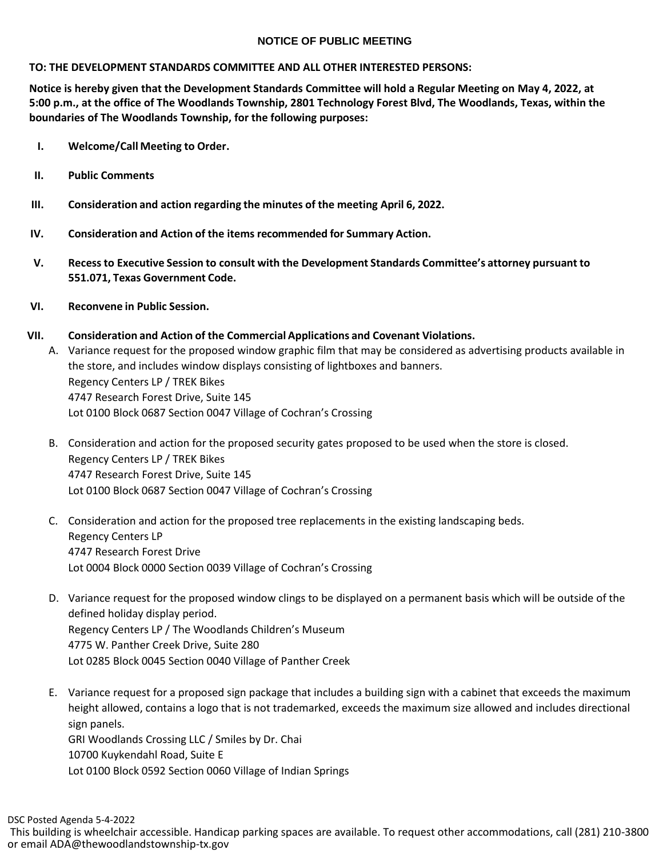## **NOTICE OF PUBLIC MEETING**

## **TO: THE DEVELOPMENT STANDARDS COMMITTEE AND ALL OTHER INTERESTED PERSONS:**

**Notice is hereby given that the Development Standards Committee will hold a Regular Meeting on May 4, 2022, at 5:00 p.m., at the office of The Woodlands Township, 2801 Technology Forest Blvd, The Woodlands, Texas, within the boundaries of The Woodlands Township, for the following purposes:**

- **I. Welcome/Call Meeting to Order.**
- **II. Public Comments**
- **III. Consideration and action regarding the minutes of the meeting April 6, 2022.**
- **IV. Consideration and Action of the items recommended for Summary Action.**
- **V. Recessto Executive Session to consult with the Development Standards Committee's attorney pursuant to 551.071, Texas Government Code.**
- **VI. Reconvene in Public Session.**

## **VII. Consideration and Action of the Commercial Applications and Covenant Violations.**

- A. Variance request for the proposed window graphic film that may be considered as advertising products available in the store, and includes window displays consisting of lightboxes and banners. Regency Centers LP / TREK Bikes 4747 Research Forest Drive, Suite 145 Lot 0100 Block 0687 Section 0047 Village of Cochran's Crossing
- B. Consideration and action for the proposed security gates proposed to be used when the store is closed. Regency Centers LP / TREK Bikes 4747 Research Forest Drive, Suite 145 Lot 0100 Block 0687 Section 0047 Village of Cochran's Crossing
- C. Consideration and action for the proposed tree replacements in the existing landscaping beds. Regency Centers LP 4747 Research Forest Drive Lot 0004 Block 0000 Section 0039 Village of Cochran's Crossing
- D. Variance request for the proposed window clings to be displayed on a permanent basis which will be outside of the defined holiday display period. Regency Centers LP / The Woodlands Children's Museum 4775 W. Panther Creek Drive, Suite 280 Lot 0285 Block 0045 Section 0040 Village of Panther Creek
- E. Variance request for a proposed sign package that includes a building sign with a cabinet that exceeds the maximum height allowed, contains a logo that is not trademarked, exceeds the maximum size allowed and includes directional sign panels.

GRI Woodlands Crossing LLC / Smiles by Dr. Chai 10700 Kuykendahl Road, Suite E Lot 0100 Block 0592 Section 0060 Village of Indian Springs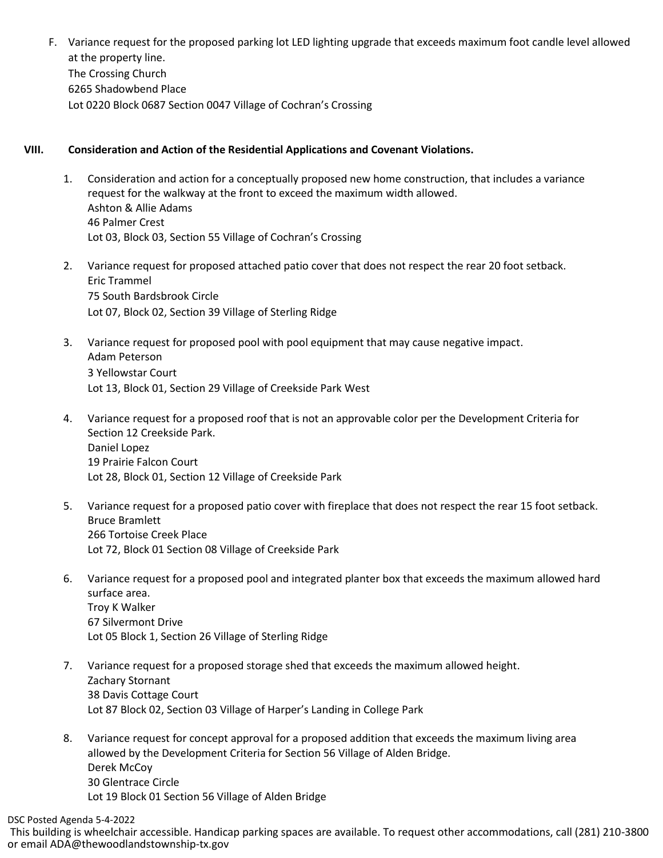F. Variance request for the proposed parking lot LED lighting upgrade that exceeds maximum foot candle level allowed at the property line. The Crossing Church 6265 Shadowbend Place Lot 0220 Block 0687 Section 0047 Village of Cochran's Crossing

## **VIII. Consideration and Action of the Residential Applications and Covenant Violations.**

- 1. Consideration and action for a conceptually proposed new home construction, that includes a variance request for the walkway at the front to exceed the maximum width allowed. Ashton & Allie Adams 46 Palmer Crest Lot 03, Block 03, Section 55 Village of Cochran's Crossing
- 2. Variance request for proposed attached patio cover that does not respect the rear 20 foot setback. Eric Trammel 75 South Bardsbrook Circle Lot 07, Block 02, Section 39 Village of Sterling Ridge
- 3. Variance request for proposed pool with pool equipment that may cause negative impact. Adam Peterson 3 Yellowstar Court Lot 13, Block 01, Section 29 Village of Creekside Park West
- 4. Variance request for a proposed roof that is not an approvable color per the Development Criteria for Section 12 Creekside Park. Daniel Lopez 19 Prairie Falcon Court Lot 28, Block 01, Section 12 Village of Creekside Park
- 5. Variance request for a proposed patio cover with fireplace that does not respect the rear 15 foot setback. Bruce Bramlett 266 Tortoise Creek Place Lot 72, Block 01 Section 08 Village of Creekside Park
- 6. Variance request for a proposed pool and integrated planter box that exceeds the maximum allowed hard surface area. Troy K Walker 67 Silvermont Drive Lot 05 Block 1, Section 26 Village of Sterling Ridge
- 7. Variance request for a proposed storage shed that exceeds the maximum allowed height. Zachary Stornant 38 Davis Cottage Court Lot 87 Block 02, Section 03 Village of Harper's Landing in College Park
- 8. Variance request for concept approval for a proposed addition that exceeds the maximum living area allowed by the Development Criteria for Section 56 Village of Alden Bridge. Derek McCoy 30 Glentrace Circle Lot 19 Block 01 Section 56 Village of Alden Bridge

DSC Posted Agenda 5-4-2022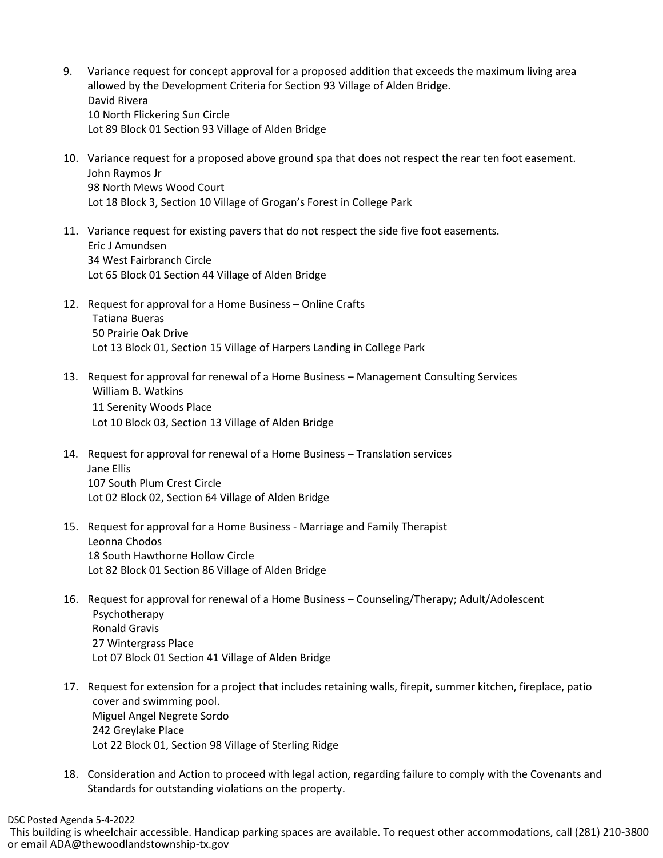- 9. Variance request for concept approval for a proposed addition that exceeds the maximum living area allowed by the Development Criteria for Section 93 Village of Alden Bridge. David Rivera 10 North Flickering Sun Circle Lot 89 Block 01 Section 93 Village of Alden Bridge
- 10. Variance request for a proposed above ground spa that does not respect the rear ten foot easement. John Raymos Jr 98 North Mews Wood Court Lot 18 Block 3, Section 10 Village of Grogan's Forest in College Park
- 11. Variance request for existing pavers that do not respect the side five foot easements. Eric J Amundsen 34 West Fairbranch Circle Lot 65 Block 01 Section 44 Village of Alden Bridge
- 12. Request for approval for a Home Business Online Crafts Tatiana Bueras 50 Prairie Oak Drive Lot 13 Block 01, Section 15 Village of Harpers Landing in College Park
- 13. Request for approval for renewal of a Home Business Management Consulting Services William B. Watkins 11 Serenity Woods Place Lot 10 Block 03, Section 13 Village of Alden Bridge
- 14. Request for approval for renewal of a Home Business Translation services Jane Ellis 107 South Plum Crest Circle Lot 02 Block 02, Section 64 Village of Alden Bridge
- 15. Request for approval for a Home Business Marriage and Family Therapist Leonna Chodos 18 South Hawthorne Hollow Circle Lot 82 Block 01 Section 86 Village of Alden Bridge
- 16. Request for approval for renewal of a Home Business Counseling/Therapy; Adult/Adolescent Psychotherapy Ronald Gravis 27 Wintergrass Place Lot 07 Block 01 Section 41 Village of Alden Bridge
- 17. Request for extension for a project that includes retaining walls, firepit, summer kitchen, fireplace, patio cover and swimming pool. Miguel Angel Negrete Sordo 242 Greylake Place Lot 22 Block 01, Section 98 Village of Sterling Ridge
- 18. Consideration and Action to proceed with legal action, regarding failure to comply with the Covenants and Standards for outstanding violations on the property.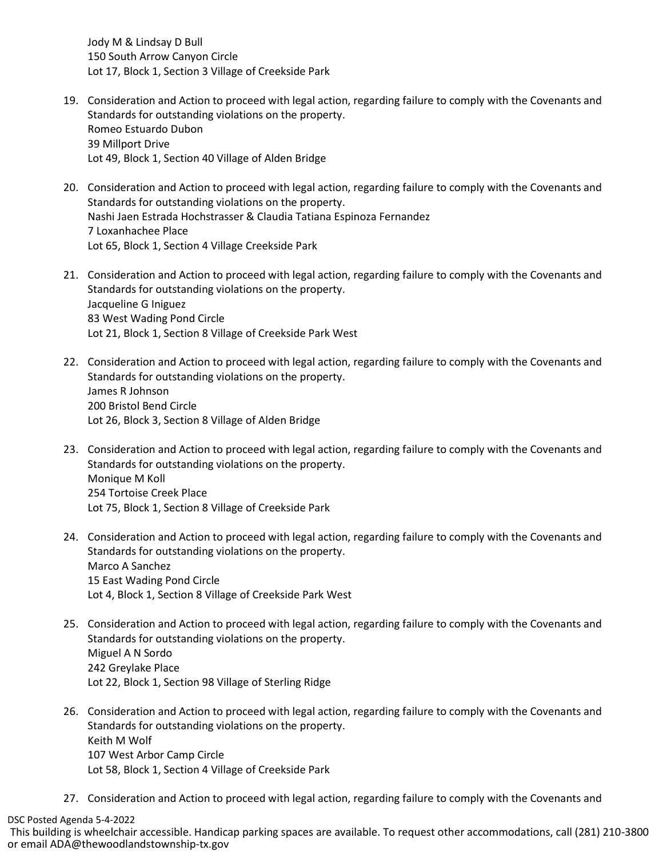Jody M & Lindsay D Bull 150 South Arrow Canyon Circle Lot 17, Block 1, Section 3 Village of Creekside Park

- 19. Consideration and Action to proceed with legal action, regarding failure to comply with the Covenants and Standards for outstanding violations on the property. Romeo Estuardo Dubon 39 Millport Drive Lot 49, Block 1, Section 40 Village of Alden Bridge
- 20. Consideration and Action to proceed with legal action, regarding failure to comply with the Covenants and Standards for outstanding violations on the property. Nashi Jaen Estrada Hochstrasser & Claudia Tatiana Espinoza Fernandez 7 Loxanhachee Place Lot 65, Block 1, Section 4 Village Creekside Park
- 21. Consideration and Action to proceed with legal action, regarding failure to comply with the Covenants and Standards for outstanding violations on the property. Jacqueline G Iniguez 83 West Wading Pond Circle Lot 21, Block 1, Section 8 Village of Creekside Park West
- 22. Consideration and Action to proceed with legal action, regarding failure to comply with the Covenants and Standards for outstanding violations on the property. James R Johnson 200 Bristol Bend Circle Lot 26, Block 3, Section 8 Village of Alden Bridge
- 23. Consideration and Action to proceed with legal action, regarding failure to comply with the Covenants and Standards for outstanding violations on the property. Monique M Koll 254 Tortoise Creek Place Lot 75, Block 1, Section 8 Village of Creekside Park
- 24. Consideration and Action to proceed with legal action, regarding failure to comply with the Covenants and Standards for outstanding violations on the property. Marco A Sanchez 15 East Wading Pond Circle Lot 4, Block 1, Section 8 Village of Creekside Park West
- 25. Consideration and Action to proceed with legal action, regarding failure to comply with the Covenants and Standards for outstanding violations on the property. Miguel A N Sordo 242 Greylake Place Lot 22, Block 1, Section 98 Village of Sterling Ridge
- 26. Consideration and Action to proceed with legal action, regarding failure to comply with the Covenants and Standards for outstanding violations on the property. Keith M Wolf 107 West Arbor Camp Circle Lot 58, Block 1, Section 4 Village of Creekside Park
- 27. Consideration and Action to proceed with legal action, regarding failure to comply with the Covenants and

DSC Posted Agenda 5-4-2022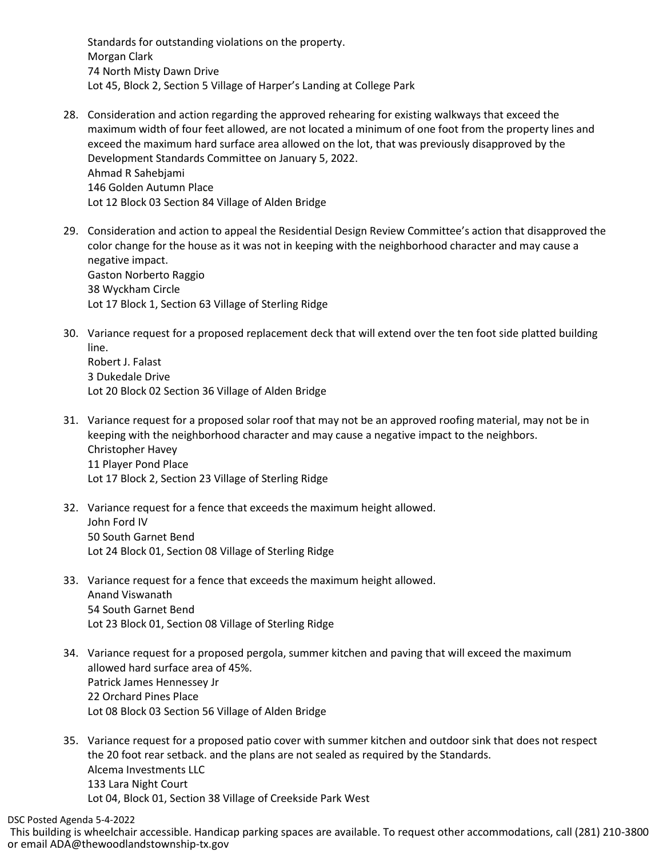Standards for outstanding violations on the property. Morgan Clark 74 North Misty Dawn Drive Lot 45, Block 2, Section 5 Village of Harper's Landing at College Park

- 28. Consideration and action regarding the approved rehearing for existing walkways that exceed the maximum width of four feet allowed, are not located a minimum of one foot from the property lines and exceed the maximum hard surface area allowed on the lot, that was previously disapproved by the Development Standards Committee on January 5, 2022. Ahmad R Sahebjami 146 Golden Autumn Place Lot 12 Block 03 Section 84 Village of Alden Bridge
- 29. Consideration and action to appeal the Residential Design Review Committee's action that disapproved the color change for the house as it was not in keeping with the neighborhood character and may cause a negative impact. Gaston Norberto Raggio 38 Wyckham Circle Lot 17 Block 1, Section 63 Village of Sterling Ridge
- 30. Variance request for a proposed replacement deck that will extend over the ten foot side platted building line. Robert J. Falast

3 Dukedale Drive Lot 20 Block 02 Section 36 Village of Alden Bridge

- 31. Variance request for a proposed solar roof that may not be an approved roofing material, may not be in keeping with the neighborhood character and may cause a negative impact to the neighbors. Christopher Havey 11 Player Pond Place Lot 17 Block 2, Section 23 Village of Sterling Ridge
- 32. Variance request for a fence that exceeds the maximum height allowed. John Ford IV 50 South Garnet Bend Lot 24 Block 01, Section 08 Village of Sterling Ridge
- 33. Variance request for a fence that exceeds the maximum height allowed. Anand Viswanath 54 South Garnet Bend Lot 23 Block 01, Section 08 Village of Sterling Ridge
- 34. Variance request for a proposed pergola, summer kitchen and paving that will exceed the maximum allowed hard surface area of 45%. Patrick James Hennessey Jr 22 Orchard Pines Place Lot 08 Block 03 Section 56 Village of Alden Bridge
- 35. Variance request for a proposed patio cover with summer kitchen and outdoor sink that does not respect the 20 foot rear setback. and the plans are not sealed as required by the Standards. Alcema Investments LLC 133 Lara Night Court Lot 04, Block 01, Section 38 Village of Creekside Park West

DSC Posted Agenda 5-4-2022